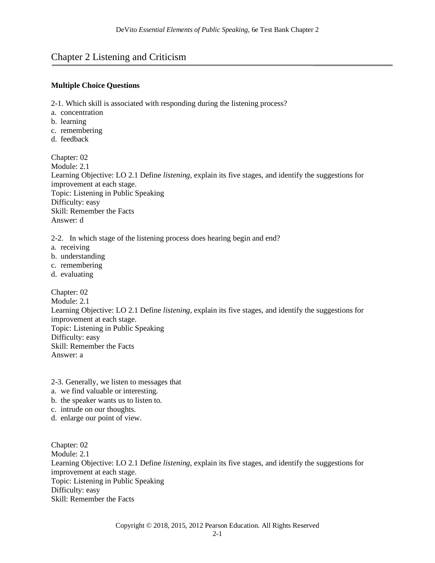# Chapter 2 Listening and Criticism

#### **Multiple Choice Questions**

2-1. Which skill is associated with responding during the listening process?

- a. concentration
- b. learning
- c. remembering
- d. feedback

Chapter: 02 Module: 2.1 Learning Objective: LO 2.1 Define *listening,* explain its five stages, and identify the suggestions for improvement at each stage. Topic: Listening in Public Speaking Difficulty: easy Skill: Remember the Facts Answer: d

2-2. In which stage of the listening process does hearing begin and end?

- a. receiving
- b. understanding
- c. remembering
- d. evaluating

Chapter: 02 Module: 2.1 Learning Objective: LO 2.1 Define *listening,* explain its five stages, and identify the suggestions for improvement at each stage. Topic: Listening in Public Speaking Difficulty: easy Skill: Remember the Facts Answer: a

- 2-3. Generally, we listen to messages that
- a. we find valuable or interesting.
- b. the speaker wants us to listen to.
- c. intrude on our thoughts.
- d. enlarge our point of view.

Chapter: 02 Module: 2.1 Learning Objective: LO 2.1 Define *listening,* explain its five stages, and identify the suggestions for improvement at each stage. Topic: Listening in Public Speaking Difficulty: easy Skill: Remember the Facts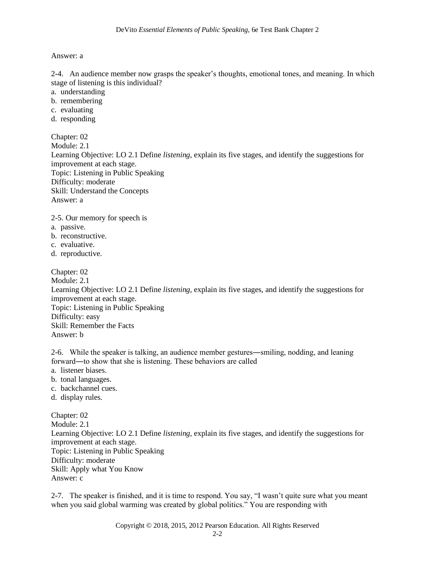Answer: a

2-4. An audience member now grasps the speaker's thoughts, emotional tones, and meaning. In which stage of listening is this individual?

- a. understanding
- b. remembering
- c. evaluating
- d. responding

Chapter: 02 Module: 2.1 Learning Objective: LO 2.1 Define *listening,* explain its five stages, and identify the suggestions for improvement at each stage. Topic: Listening in Public Speaking Difficulty: moderate Skill: Understand the Concepts Answer: a

2-5. Our memory for speech is

- a. passive.
- b. reconstructive.
- c. evaluative.
- d. reproductive.

Chapter: 02 Module: 2.1 Learning Objective: LO 2.1 Define *listening,* explain its five stages, and identify the suggestions for improvement at each stage. Topic: Listening in Public Speaking Difficulty: easy Skill: Remember the Facts Answer: b

2-6. While the speaker is talking, an audience member gestures―smiling, nodding, and leaning forward―to show that she is listening. These behaviors are called

- a. listener biases.
- b. tonal languages.
- c. backchannel cues.
- d. display rules.

Chapter: 02 Module: 2.1 Learning Objective: LO 2.1 Define *listening,* explain its five stages, and identify the suggestions for improvement at each stage. Topic: Listening in Public Speaking Difficulty: moderate Skill: Apply what You Know Answer: c

2-7. The speaker is finished, and it is time to respond. You say, "I wasn't quite sure what you meant when you said global warming was created by global politics." You are responding with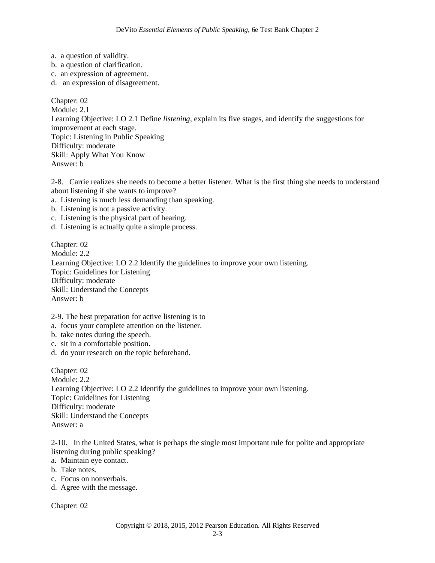- a. a question of validity.
- b. a question of clarification.
- c. an expression of agreement.
- d. an expression of disagreement.

Chapter: 02 Module: 2.1 Learning Objective: LO 2.1 Define *listening,* explain its five stages, and identify the suggestions for improvement at each stage. Topic: Listening in Public Speaking Difficulty: moderate Skill: Apply What You Know Answer: b

2-8. Carrie realizes she needs to become a better listener. What is the first thing she needs to understand about listening if she wants to improve?

- a. Listening is much less demanding than speaking.
- b. Listening is not a passive activity.
- c. Listening is the physical part of hearing.
- d. Listening is actually quite a simple process.

Chapter: 02 Module: 2.2 Learning Objective: LO 2.2 Identify the guidelines to improve your own listening. Topic: Guidelines for Listening Difficulty: moderate Skill: Understand the Concepts Answer: b

2-9. The best preparation for active listening is to

a. focus your complete attention on the listener.

- b. take notes during the speech.
- c. sit in a comfortable position.
- d. do your research on the topic beforehand.

Chapter: 02 Module: 2.2 Learning Objective: LO 2.2 Identify the guidelines to improve your own listening. Topic: Guidelines for Listening Difficulty: moderate Skill: Understand the Concepts Answer: a

2-10. In the United States, what is perhaps the single most important rule for polite and appropriate listening during public speaking?

- a. Maintain eye contact.
- b. Take notes.
- c. Focus on nonverbals.
- d. Agree with the message.

Chapter: 02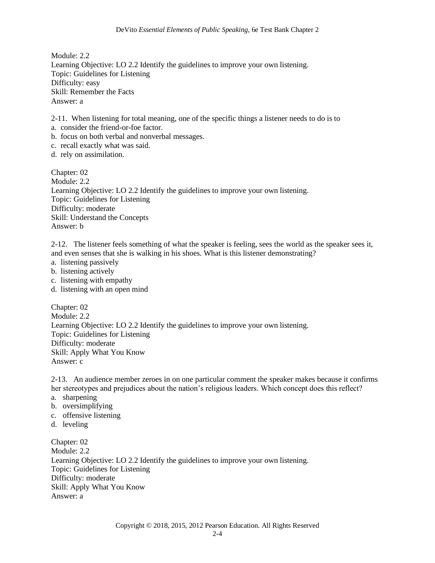Module: 2.2 Learning Objective: LO 2.2 Identify the guidelines to improve your own listening. Topic: Guidelines for Listening Difficulty: easy Skill: Remember the Facts Answer: a

2-11. When listening for total meaning, one of the specific things a listener needs to do is to

- a. consider the friend-or-foe factor.
- b. focus on both verbal and nonverbal messages.
- c. recall exactly what was said.
- d. rely on assimilation.

Chapter: 02 Module: 2.2 Learning Objective: LO 2.2 Identify the guidelines to improve your own listening. Topic: Guidelines for Listening Difficulty: moderate Skill: Understand the Concepts Answer: b

2-12. The listener feels something of what the speaker is feeling, sees the world as the speaker sees it, and even senses that she is walking in his shoes. What is this listener demonstrating?

- a. listening passively
- b. listening actively
- c. listening with empathy
- d. listening with an open mind

Chapter: 02 Module: 2.2 Learning Objective: LO 2.2 Identify the guidelines to improve your own listening. Topic: Guidelines for Listening Difficulty: moderate Skill: Apply What You Know Answer: c

2-13. An audience member zeroes in on one particular comment the speaker makes because it confirms her stereotypes and prejudices about the nation's religious leaders. Which concept does this reflect?

- a. sharpening
- b. oversimplifying
- c. offensive listening
- d. leveling

Chapter: 02 Module: 2.2 Learning Objective: LO 2.2 Identify the guidelines to improve your own listening. Topic: Guidelines for Listening Difficulty: moderate Skill: Apply What You Know Answer: a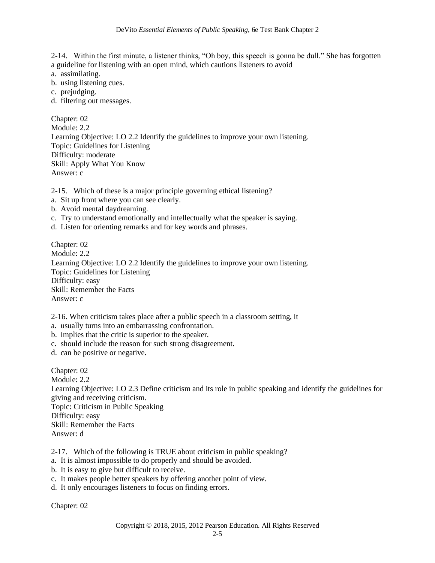2-14. Within the first minute, a listener thinks, "Oh boy, this speech is gonna be dull." She has forgotten a guideline for listening with an open mind, which cautions listeners to avoid

- a. assimilating.
- b. using listening cues.
- c. prejudging.
- d. filtering out messages.

Chapter: 02 Module: 2.2 Learning Objective: LO 2.2 Identify the guidelines to improve your own listening. Topic: Guidelines for Listening Difficulty: moderate Skill: Apply What You Know Answer: c

2-15. Which of these is a major principle governing ethical listening?

- a. Sit up front where you can see clearly.
- b. Avoid mental daydreaming.
- c. Try to understand emotionally and intellectually what the speaker is saying.
- d. Listen for orienting remarks and for key words and phrases.

Chapter: 02 Module: 2.2 Learning Objective: LO 2.2 Identify the guidelines to improve your own listening. Topic: Guidelines for Listening Difficulty: easy Skill: Remember the Facts Answer: c

2-16. When criticism takes place after a public speech in a classroom setting, it

a. usually turns into an embarrassing confrontation.

- b. implies that the critic is superior to the speaker.
- c. should include the reason for such strong disagreement.
- d. can be positive or negative.

Chapter: 02 Module: 2.2 Learning Objective: LO 2.3 Define criticism and its role in public speaking and identify the guidelines for giving and receiving criticism. Topic: Criticism in Public Speaking Difficulty: easy Skill: Remember the Facts Answer: d

2-17. Which of the following is TRUE about criticism in public speaking?

- a. It is almost impossible to do properly and should be avoided.
- b. It is easy to give but difficult to receive.
- c. It makes people better speakers by offering another point of view.
- d. It only encourages listeners to focus on finding errors.

Chapter: 02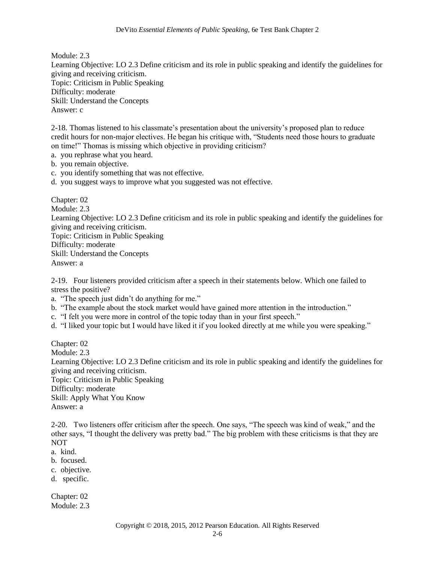Module: 2.3 Learning Objective: LO 2.3 Define criticism and its role in public speaking and identify the guidelines for giving and receiving criticism. Topic: Criticism in Public Speaking Difficulty: moderate Skill: Understand the Concepts Answer: c

2-18. Thomas listened to his classmate's presentation about the university's proposed plan to reduce credit hours for non-major electives. He began his critique with, "Students need those hours to graduate on time!" Thomas is missing which objective in providing criticism?

- a. you rephrase what you heard.
- b. you remain objective.
- c. you identify something that was not effective.
- d. you suggest ways to improve what you suggested was not effective.

Chapter: 02 Module: 2.3 Learning Objective: LO 2.3 Define criticism and its role in public speaking and identify the guidelines for giving and receiving criticism. Topic: Criticism in Public Speaking Difficulty: moderate Skill: Understand the Concepts Answer: a

2-19. Four listeners provided criticism after a speech in their statements below. Which one failed to stress the positive?

a. "The speech just didn't do anything for me."

- b. "The example about the stock market would have gained more attention in the introduction."
- c. "I felt you were more in control of the topic today than in your first speech."
- d. "I liked your topic but I would have liked it if you looked directly at me while you were speaking."

Chapter: 02

Module: 2.3

Learning Objective: LO 2.3 Define criticism and its role in public speaking and identify the guidelines for giving and receiving criticism.

Topic: Criticism in Public Speaking Difficulty: moderate Skill: Apply What You Know Answer: a

2-20. Two listeners offer criticism after the speech. One says, "The speech was kind of weak," and the other says, "I thought the delivery was pretty bad." The big problem with these criticisms is that they are NOT

- a. kind.
- b. focused.
- c. objective.
- d. specific.

Chapter: 02 Module: 2.3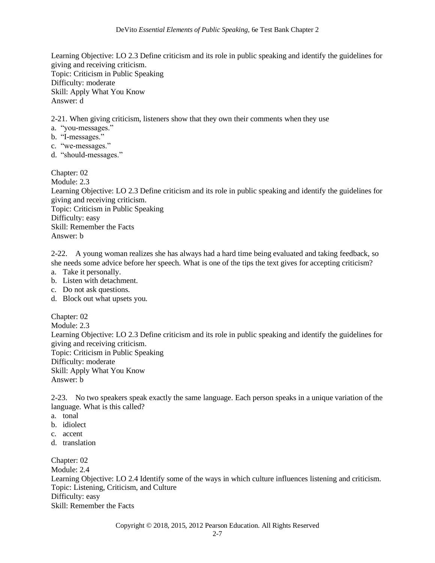Learning Objective: LO 2.3 Define criticism and its role in public speaking and identify the guidelines for giving and receiving criticism. Topic: Criticism in Public Speaking Difficulty: moderate Skill: Apply What You Know Answer: d

2-21. When giving criticism, listeners show that they own their comments when they use

- a. "you-messages."
- b. "I-messages."
- c. "we-messages."
- d. "should-messages."

Chapter: 02 Module: 2.3 Learning Objective: LO 2.3 Define criticism and its role in public speaking and identify the guidelines for giving and receiving criticism. Topic: Criticism in Public Speaking Difficulty: easy Skill: Remember the Facts Answer: b

2-22. A young woman realizes she has always had a hard time being evaluated and taking feedback, so she needs some advice before her speech. What is one of the tips the text gives for accepting criticism?

- a. Take it personally.
- b. Listen with detachment.
- c. Do not ask questions.
- d. Block out what upsets you.

Chapter: 02 Module: 2.3 Learning Objective: LO 2.3 Define criticism and its role in public speaking and identify the guidelines for giving and receiving criticism. Topic: Criticism in Public Speaking Difficulty: moderate Skill: Apply What You Know Answer: b

2-23. No two speakers speak exactly the same language. Each person speaks in a unique variation of the language. What is this called?

- a. tonal
- b. idiolect
- c. accent
- d. translation

Chapter: 02 Module: 2.4 Learning Objective: LO 2.4 Identify some of the ways in which culture influences listening and criticism. Topic: Listening, Criticism, and Culture Difficulty: easy Skill: Remember the Facts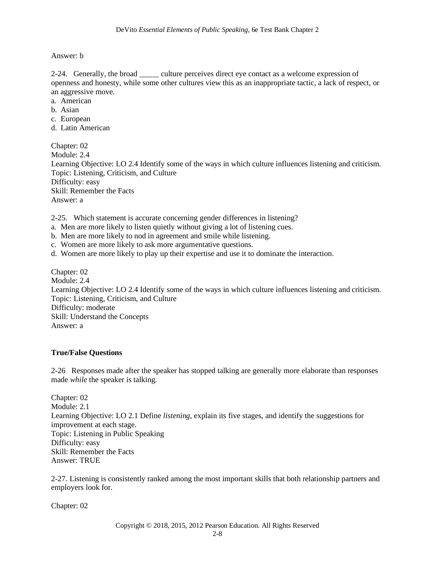Answer: b

2-24. Generally, the broad \_\_\_\_\_ culture perceives direct eye contact as a welcome expression of openness and honesty, while some other cultures view this as an inappropriate tactic, a lack of respect, or an aggressive move.

- a. American
- b. Asian
- c. European
- d. Latin American

Chapter: 02 Module: 2.4 Learning Objective: LO 2.4 Identify some of the ways in which culture influences listening and criticism. Topic: Listening, Criticism, and Culture Difficulty: easy Skill: Remember the Facts Answer: a

2-25. Which statement is accurate concerning gender differences in listening?

- a. Men are more likely to listen quietly without giving a lot of listening cues.
- b. Men are more likely to nod in agreement and smile while listening.
- c. Women are more likely to ask more argumentative questions.
- d. Women are more likely to play up their expertise and use it to dominate the interaction.

Chapter: 02 Module: 2.4 Learning Objective: LO 2.4 Identify some of the ways in which culture influences listening and criticism. Topic: Listening, Criticism, and Culture Difficulty: moderate Skill: Understand the Concepts Answer: a

## **True/False Questions**

2-26 Responses made after the speaker has stopped talking are generally more elaborate than responses made *while* the speaker is talking.

Chapter: 02 Module: 2.1 Learning Objective: LO 2.1 Define *listening,* explain its five stages, and identify the suggestions for improvement at each stage. Topic: Listening in Public Speaking Difficulty: easy Skill: Remember the Facts Answer: TRUE

2-27. Listening is consistently ranked among the most important skills that both relationship partners and employers look for.

Chapter: 02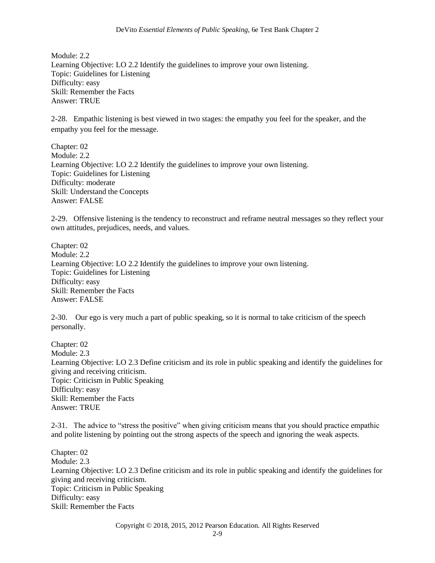Module: 2.2 Learning Objective: LO 2.2 Identify the guidelines to improve your own listening. Topic: Guidelines for Listening Difficulty: easy Skill: Remember the Facts Answer: TRUE

2-28. Empathic listening is best viewed in two stages: the empathy you feel for the speaker, and the empathy you feel for the message.

Chapter: 02 Module: 2.2 Learning Objective: LO 2.2 Identify the guidelines to improve your own listening. Topic: Guidelines for Listening Difficulty: moderate Skill: Understand the Concepts Answer: FALSE

2-29. Offensive listening is the tendency to reconstruct and reframe neutral messages so they reflect your own attitudes, prejudices, needs, and values.

Chapter: 02 Module: 2.2 Learning Objective: LO 2.2 Identify the guidelines to improve your own listening. Topic: Guidelines for Listening Difficulty: easy Skill: Remember the Facts Answer: FALSE

2-30. Our ego is very much a part of public speaking, so it is normal to take criticism of the speech personally.

Chapter: 02 Module: 2.3 Learning Objective: LO 2.3 Define criticism and its role in public speaking and identify the guidelines for giving and receiving criticism. Topic: Criticism in Public Speaking Difficulty: easy Skill: Remember the Facts Answer: TRUE

2-31. The advice to "stress the positive" when giving criticism means that you should practice empathic and polite listening by pointing out the strong aspects of the speech and ignoring the weak aspects.

Chapter: 02 Module: 2.3 Learning Objective: LO 2.3 Define criticism and its role in public speaking and identify the guidelines for giving and receiving criticism. Topic: Criticism in Public Speaking Difficulty: easy Skill: Remember the Facts

Copyright © 2018, 2015, 2012 Pearson Education. All Rights Reserved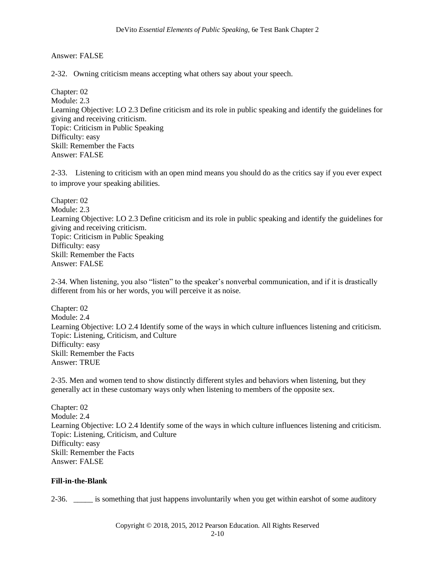Answer: FALSE

2-32. Owning criticism means accepting what others say about your speech.

Chapter: 02 Module: 2.3 Learning Objective: LO 2.3 Define criticism and its role in public speaking and identify the guidelines for giving and receiving criticism. Topic: Criticism in Public Speaking Difficulty: easy Skill: Remember the Facts Answer: FALSE

2-33. Listening to criticism with an open mind means you should do as the critics say if you ever expect to improve your speaking abilities.

Chapter: 02 Module: 2.3 Learning Objective: LO 2.3 Define criticism and its role in public speaking and identify the guidelines for giving and receiving criticism. Topic: Criticism in Public Speaking Difficulty: easy Skill: Remember the Facts Answer: FALSE

2-34. When listening, you also "listen" to the speaker's nonverbal communication, and if it is drastically different from his or her words, you will perceive it as noise.

Chapter: 02 Module: 2.4 Learning Objective: LO 2.4 Identify some of the ways in which culture influences listening and criticism. Topic: Listening, Criticism, and Culture Difficulty: easy Skill: Remember the Facts Answer: TRUE

2-35. Men and women tend to show distinctly different styles and behaviors when listening, but they generally act in these customary ways only when listening to members of the opposite sex.

Chapter: 02 Module: 2.4 Learning Objective: LO 2.4 Identify some of the ways in which culture influences listening and criticism. Topic: Listening, Criticism, and Culture Difficulty: easy Skill: Remember the Facts Answer: FALSE

## **Fill-in-the-Blank**

2-36. \_\_\_\_\_ is something that just happens involuntarily when you get within earshot of some auditory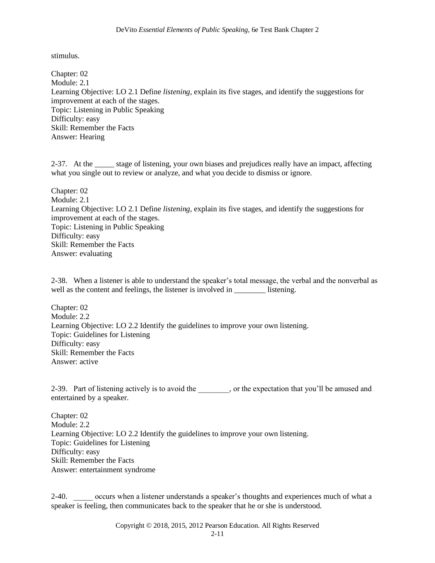stimulus.

Chapter: 02 Module: 2.1 Learning Objective: LO 2.1 Define *listening,* explain its five stages, and identify the suggestions for improvement at each of the stages. Topic: Listening in Public Speaking Difficulty: easy Skill: Remember the Facts Answer: Hearing

2-37. At the \_\_\_\_\_ stage of listening, your own biases and prejudices really have an impact, affecting what you single out to review or analyze, and what you decide to dismiss or ignore.

Chapter: 02 Module: 2.1 Learning Objective: LO 2.1 Define *listening,* explain its five stages, and identify the suggestions for improvement at each of the stages. Topic: Listening in Public Speaking Difficulty: easy Skill: Remember the Facts Answer: evaluating

2-38. When a listener is able to understand the speaker's total message, the verbal and the nonverbal as well as the content and feelings, the listener is involved in \_\_\_\_\_\_\_\_\_\_ listening.

Chapter: 02 Module: 2.2 Learning Objective: LO 2.2 Identify the guidelines to improve your own listening. Topic: Guidelines for Listening Difficulty: easy Skill: Remember the Facts Answer: active

2-39. Part of listening actively is to avoid the , or the expectation that you'll be amused and entertained by a speaker.

Chapter: 02 Module: 2.2 Learning Objective: LO 2.2 Identify the guidelines to improve your own listening. Topic: Guidelines for Listening Difficulty: easy Skill: Remember the Facts Answer: entertainment syndrome

2-40. occurs when a listener understands a speaker's thoughts and experiences much of what a speaker is feeling, then communicates back to the speaker that he or she is understood.

Copyright © 2018, 2015, 2012 Pearson Education. All Rights Reserved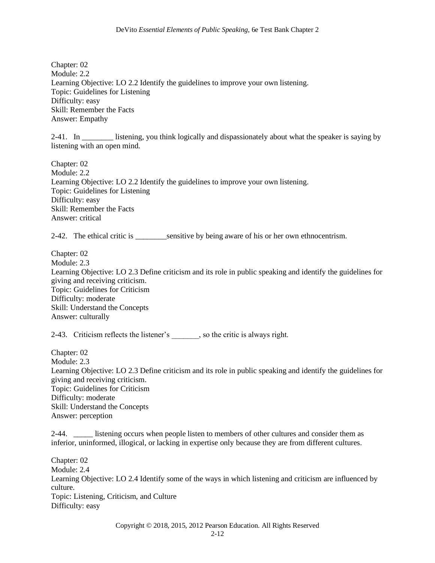Chapter: 02 Module: 2.2 Learning Objective: LO 2.2 Identify the guidelines to improve your own listening. Topic: Guidelines for Listening Difficulty: easy Skill: Remember the Facts Answer: Empathy

2-41. In \_\_\_\_\_\_\_\_ listening, you think logically and dispassionately about what the speaker is saying by listening with an open mind.

Chapter: 02 Module: 2.2 Learning Objective: LO 2.2 Identify the guidelines to improve your own listening. Topic: Guidelines for Listening Difficulty: easy Skill: Remember the Facts Answer: critical

2-42. The ethical critic is \_\_\_\_\_\_\_\_sensitive by being aware of his or her own ethnocentrism.

Chapter: 02 Module: 2.3 Learning Objective: LO 2.3 Define criticism and its role in public speaking and identify the guidelines for giving and receiving criticism. Topic: Guidelines for Criticism Difficulty: moderate Skill: Understand the Concepts Answer: culturally

2-43. Criticism reflects the listener's , so the critic is always right.

Chapter: 02 Module: 2.3 Learning Objective: LO 2.3 Define criticism and its role in public speaking and identify the guidelines for giving and receiving criticism. Topic: Guidelines for Criticism Difficulty: moderate Skill: Understand the Concepts Answer: perception

2-44. listening occurs when people listen to members of other cultures and consider them as inferior, uninformed, illogical, or lacking in expertise only because they are from different cultures.

Chapter: 02 Module: 2.4 Learning Objective: LO 2.4 Identify some of the ways in which listening and criticism are influenced by culture. Topic: Listening, Criticism, and Culture Difficulty: easy

Copyright © 2018, 2015, 2012 Pearson Education. All Rights Reserved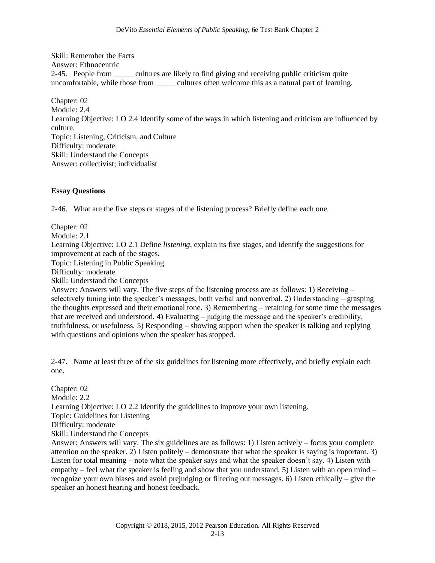Skill: Remember the Facts Answer: Ethnocentric 2-45. People from \_\_\_\_\_ cultures are likely to find giving and receiving public criticism quite uncomfortable, while those from \_\_\_\_\_\_ cultures often welcome this as a natural part of learning.

Chapter: 02 Module: 2.4 Learning Objective: LO 2.4 Identify some of the ways in which listening and criticism are influenced by culture. Topic: Listening, Criticism, and Culture Difficulty: moderate Skill: Understand the Concepts Answer: collectivist; individualist

#### **Essay Questions**

2-46. What are the five steps or stages of the listening process? Briefly define each one.

Chapter: 02 Module: 2.1 Learning Objective: LO 2.1 Define *listening,* explain its five stages, and identify the suggestions for improvement at each of the stages.

Topic: Listening in Public Speaking

Difficulty: moderate

Skill: Understand the Concepts

Answer: Answers will vary. The five steps of the listening process are as follows: 1) Receiving – selectively tuning into the speaker's messages, both verbal and nonverbal. 2) Understanding – grasping the thoughts expressed and their emotional tone. 3) Remembering – retaining for some time the messages that are received and understood. 4) Evaluating – judging the message and the speaker's credibility, truthfulness, or usefulness. 5) Responding – showing support when the speaker is talking and replying with questions and opinions when the speaker has stopped.

2-47. Name at least three of the six guidelines for listening more effectively, and briefly explain each one.

Chapter: 02 Module: 2.2 Learning Objective: LO 2.2 Identify the guidelines to improve your own listening. Topic: Guidelines for Listening Difficulty: moderate Skill: Understand the Concepts Answer: Answers will vary. The six guidelines are as follows: 1) Listen actively – focus your complete attention on the speaker. 2) Listen politely – demonstrate that what the speaker is saying is important. 3) Listen for total meaning – note what the speaker says and what the speaker doesn't say. 4) Listen with empathy – feel what the speaker is feeling and show that you understand. 5) Listen with an open mind – recognize your own biases and avoid prejudging or filtering out messages. 6) Listen ethically – give the speaker an honest hearing and honest feedback.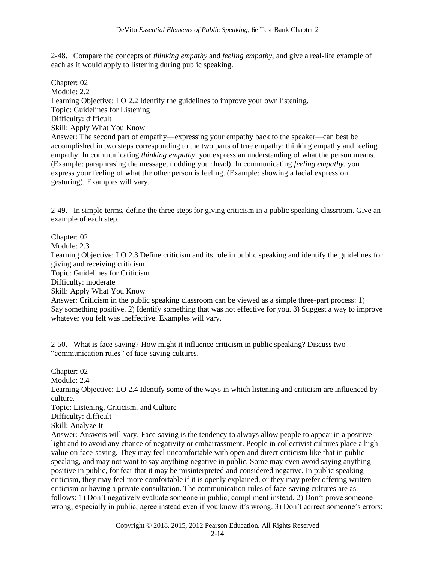2-48. Compare the concepts of *thinking empathy* and *feeling empathy*, and give a real-life example of each as it would apply to listening during public speaking.

Chapter: 02 Module: 2.2 Learning Objective: LO 2.2 Identify the guidelines to improve your own listening. Topic: Guidelines for Listening Difficulty: difficult Skill: Apply What You Know Answer: The second part of empathy―expressing your empathy back to the speaker―can best be accomplished in two steps corresponding to the two parts of true empathy: thinking empathy and feeling empathy. In communicating *thinking empathy,* you express an understanding of what the person means. (Example: paraphrasing the message, nodding your head). In communicating *feeling empathy,* you express your feeling of what the other person is feeling. (Example: showing a facial expression, gesturing). Examples will vary.

2-49. In simple terms, define the three steps for giving criticism in a public speaking classroom. Give an example of each step.

Chapter: 02

Module: 2.3

Learning Objective: LO 2.3 Define criticism and its role in public speaking and identify the guidelines for giving and receiving criticism.

Topic: Guidelines for Criticism

Difficulty: moderate

Skill: Apply What You Know

Answer: Criticism in the public speaking classroom can be viewed as a simple three-part process: 1) Say something positive. 2) Identify something that was not effective for you. 3) Suggest a way to improve whatever you felt was ineffective. Examples will vary.

2-50. What is face-saving? How might it influence criticism in public speaking? Discuss two "communication rules" of face-saving cultures.

Chapter: 02 Module: 2.4 Learning Objective: LO 2.4 Identify some of the ways in which listening and criticism are influenced by culture. Topic: Listening, Criticism, and Culture Difficulty: difficult Skill: Analyze It Answer: Answers will vary. Face-saving is the tendency to always allow people to appear in a positive light and to avoid any chance of negativity or embarrassment. People in collectivist cultures place a high value on face-saving. They may feel uncomfortable with open and direct criticism like that in public speaking, and may not want to say anything negative in public. Some may even avoid saying anything positive in public, for fear that it may be misinterpreted and considered negative. In public speaking criticism, they may feel more comfortable if it is openly explained, or they may prefer offering written criticism or having a private consultation. The communication rules of face-saving cultures are as follows: 1) Don't negatively evaluate someone in public; compliment instead. 2) Don't prove someone wrong, especially in public; agree instead even if you know it's wrong. 3) Don't correct someone's errors;